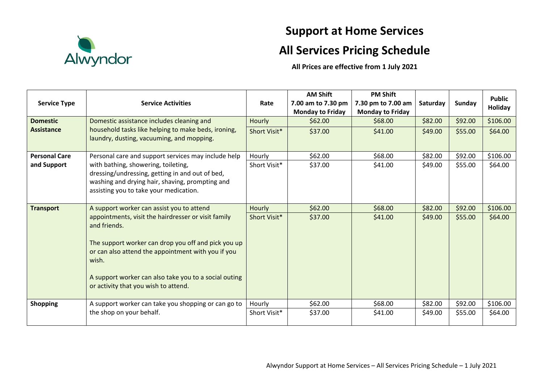

## **Support at Home Services**

## **All Services Pricing Schedule**

**All Prices are effective from 1 July 2021**

|                                                       |                                                             |              | <b>AM Shift</b>         | <b>PM Shift</b>         |          |         | <b>Public</b>  |
|-------------------------------------------------------|-------------------------------------------------------------|--------------|-------------------------|-------------------------|----------|---------|----------------|
| <b>Service Type</b>                                   | <b>Service Activities</b>                                   | Rate         | 7.00 am to 7.30 pm      | 7.30 pm to 7.00 am      | Saturday | Sunday  | <b>Holiday</b> |
|                                                       |                                                             |              | <b>Monday to Friday</b> | <b>Monday to Friday</b> |          |         |                |
| <b>Domestic</b>                                       | Domestic assistance includes cleaning and                   | Hourly       | \$62.00                 | \$68.00                 | \$82.00  | \$92.00 | \$106.00       |
| <b>Assistance</b>                                     | household tasks like helping to make beds, ironing,         | Short Visit* | \$37.00                 | \$41.00                 | \$49.00  | \$55.00 | \$64.00        |
|                                                       | laundry, dusting, vacuuming, and mopping.                   |              |                         |                         |          |         |                |
| <b>Personal Care</b>                                  | Personal care and support services may include help         | Hourly       | \$62.00                 | \$68.00                 | \$82.00  | \$92.00 | \$106.00       |
| and Support                                           | with bathing, showering, toileting,                         | Short Visit* | \$37.00                 | \$41.00                 | \$49.00  | \$55.00 | \$64.00        |
|                                                       | dressing/undressing, getting in and out of bed,             |              |                         |                         |          |         |                |
|                                                       | washing and drying hair, shaving, prompting and             |              |                         |                         |          |         |                |
| assisting you to take your medication.                |                                                             |              |                         |                         |          |         |                |
| <b>Transport</b>                                      | A support worker can assist you to attend                   | Hourly       | \$62.00                 | \$68.00                 | \$82.00  | \$92.00 | \$106.00       |
|                                                       | appointments, visit the hairdresser or visit family         | Short Visit* | \$37.00                 | \$41.00                 | \$49.00  | \$55.00 | \$64.00        |
| and friends.                                          |                                                             |              |                         |                         |          |         |                |
|                                                       |                                                             |              |                         |                         |          |         |                |
|                                                       | The support worker can drop you off and pick you up         |              |                         |                         |          |         |                |
|                                                       | or can also attend the appointment with you if you<br>wish. |              |                         |                         |          |         |                |
|                                                       |                                                             |              |                         |                         |          |         |                |
| A support worker can also take you to a social outing |                                                             |              |                         |                         |          |         |                |
|                                                       | or activity that you wish to attend.                        |              |                         |                         |          |         |                |
|                                                       |                                                             |              |                         |                         |          |         |                |
| <b>Shopping</b>                                       | A support worker can take you shopping or can go to         | Hourly       | \$62.00                 | \$68.00                 | \$82.00  | \$92.00 | \$106.00       |
|                                                       | the shop on your behalf.                                    | Short Visit* | \$37.00                 | \$41.00                 | \$49.00  | \$55.00 | \$64.00        |
|                                                       |                                                             |              |                         |                         |          |         |                |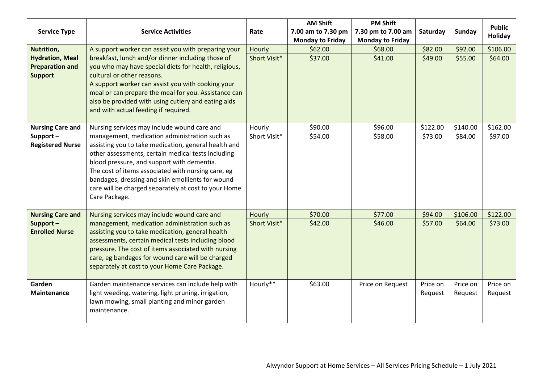|                         |                                                                                                             |              | <b>AM Shift</b>         | <b>PM Shift</b>         |          |               | <b>Public</b> |
|-------------------------|-------------------------------------------------------------------------------------------------------------|--------------|-------------------------|-------------------------|----------|---------------|---------------|
| <b>Service Type</b>     | <b>Service Activities</b>                                                                                   | Rate         | 7.00 am to 7.30 pm      | 7.30 pm to 7.00 am      | Saturday | <b>Sunday</b> | Holiday       |
|                         |                                                                                                             |              | <b>Monday to Friday</b> | <b>Monday to Friday</b> |          |               |               |
| Nutrition,              | A support worker can assist you with preparing your                                                         | Hourly       | \$62.00                 | \$68.00                 | \$82.00  | \$92.00       | \$106.00      |
| <b>Hydration, Meal</b>  | breakfast, lunch and/or dinner including those of                                                           | Short Visit* | \$37.00                 | \$41.00                 | \$49.00  | \$55.00       | \$64.00       |
| <b>Preparation and</b>  | you who may have special diets for health, religious,                                                       |              |                         |                         |          |               |               |
| <b>Support</b>          | cultural or other reasons.                                                                                  |              |                         |                         |          |               |               |
|                         | A support worker can assist you with cooking your                                                           |              |                         |                         |          |               |               |
|                         | meal or can prepare the meal for you. Assistance can<br>also be provided with using cutlery and eating aids |              |                         |                         |          |               |               |
|                         | and with actual feeding if required.                                                                        |              |                         |                         |          |               |               |
|                         |                                                                                                             |              |                         |                         |          |               |               |
| <b>Nursing Care and</b> | Nursing services may include wound care and                                                                 | Hourly       | \$90.00                 | \$96.00                 | \$122.00 | \$140.00      | \$162.00      |
| Support-                | management, medication administration such as                                                               | Short Visit* | \$54.00                 | \$58.00                 | \$73.00  | \$84.00       | \$97.00       |
| <b>Registered Nurse</b> | assisting you to take medication, general health and                                                        |              |                         |                         |          |               |               |
|                         | other assessments, certain medical tests including                                                          |              |                         |                         |          |               |               |
|                         | blood pressure, and support with dementia.                                                                  |              |                         |                         |          |               |               |
|                         | The cost of items associated with nursing care, eg                                                          |              |                         |                         |          |               |               |
|                         | bandages, dressing and skin emollients for wound<br>care will be charged separately at cost to your Home    |              |                         |                         |          |               |               |
|                         | Care Package.                                                                                               |              |                         |                         |          |               |               |
|                         |                                                                                                             |              |                         |                         |          |               |               |
| <b>Nursing Care and</b> | Nursing services may include wound care and                                                                 | Hourly       | \$70.00                 | \$77.00                 | \$94.00  | \$106.00      | \$122.00      |
| Support-                | management, medication administration such as                                                               | Short Visit* | \$42.00                 | \$46.00                 | \$57.00  | \$64.00       | \$73.00       |
| <b>Enrolled Nurse</b>   | assisting you to take medication, general health                                                            |              |                         |                         |          |               |               |
|                         | assessments, certain medical tests including blood                                                          |              |                         |                         |          |               |               |
|                         | pressure. The cost of items associated with nursing                                                         |              |                         |                         |          |               |               |
|                         | care, eg bandages for wound care will be charged<br>separately at cost to your Home Care Package.           |              |                         |                         |          |               |               |
|                         |                                                                                                             |              |                         |                         |          |               |               |
| Garden                  | Garden maintenance services can include help with                                                           | Hourly**     | \$63.00                 | Price on Request        | Price on | Price on      | Price on      |
| <b>Maintenance</b>      | light weeding, watering, light pruning, irrigation,                                                         |              |                         |                         | Request  | Request       | Request       |
|                         | lawn mowing, small planting and minor garden                                                                |              |                         |                         |          |               |               |
|                         | maintenance.                                                                                                |              |                         |                         |          |               |               |
|                         |                                                                                                             |              |                         |                         |          |               |               |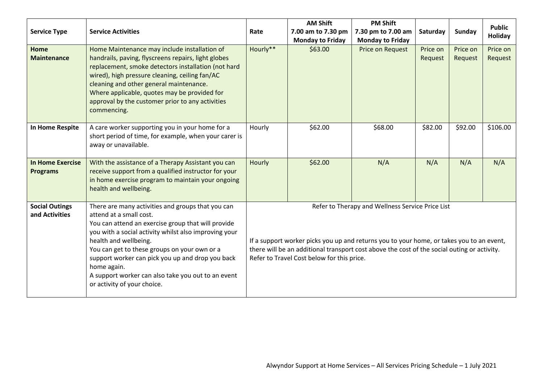| <b>Service Type</b>                        | <b>Service Activities</b>                                                                                                                                                                                                                                                                                                                                                                                                    | Rate                                                                                                                                                                                                                                                                                      | <b>AM Shift</b><br>7.00 am to 7.30 pm<br><b>Monday to Friday</b> | <b>PM Shift</b><br>7.30 pm to 7.00 am<br><b>Monday to Friday</b> | Saturday            | Sunday              | <b>Public</b><br>Holiday |
|--------------------------------------------|------------------------------------------------------------------------------------------------------------------------------------------------------------------------------------------------------------------------------------------------------------------------------------------------------------------------------------------------------------------------------------------------------------------------------|-------------------------------------------------------------------------------------------------------------------------------------------------------------------------------------------------------------------------------------------------------------------------------------------|------------------------------------------------------------------|------------------------------------------------------------------|---------------------|---------------------|--------------------------|
| Home<br><b>Maintenance</b>                 | Home Maintenance may include installation of<br>handrails, paving, flyscreens repairs, light globes<br>replacement, smoke detectors installation (not hard<br>wired), high pressure cleaning, ceiling fan/AC<br>cleaning and other general maintenance.<br>Where applicable, quotes may be provided for<br>approval by the customer prior to any activities<br>commencing.                                                   | Hourly**                                                                                                                                                                                                                                                                                  | \$63.00                                                          | Price on Request                                                 | Price on<br>Request | Price on<br>Request | Price on<br>Request      |
| In Home Respite                            | A care worker supporting you in your home for a<br>short period of time, for example, when your carer is<br>away or unavailable.                                                                                                                                                                                                                                                                                             | Hourly                                                                                                                                                                                                                                                                                    | \$62.00                                                          | \$68.00                                                          | \$82.00             | \$92.00             | \$106.00                 |
| <b>In Home Exercise</b><br><b>Programs</b> | With the assistance of a Therapy Assistant you can<br>receive support from a qualified instructor for your<br>in home exercise program to maintain your ongoing<br>health and wellbeing.                                                                                                                                                                                                                                     | Hourly                                                                                                                                                                                                                                                                                    | \$62.00                                                          | N/A                                                              | N/A                 | N/A                 | N/A                      |
| <b>Social Outings</b><br>and Activities    | There are many activities and groups that you can<br>attend at a small cost.<br>You can attend an exercise group that will provide<br>you with a social activity whilst also improving your<br>health and wellbeing.<br>You can get to these groups on your own or a<br>support worker can pick you up and drop you back<br>home again.<br>A support worker can also take you out to an event<br>or activity of your choice. | Refer to Therapy and Wellness Service Price List<br>If a support worker picks you up and returns you to your home, or takes you to an event,<br>there will be an additional transport cost above the cost of the social outing or activity.<br>Refer to Travel Cost below for this price. |                                                                  |                                                                  |                     |                     |                          |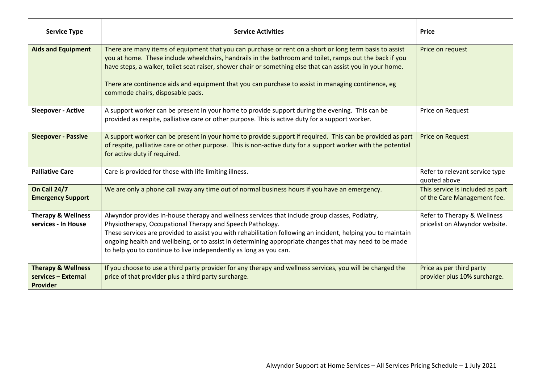| <b>Service Type</b>                                              | <b>Service Activities</b>                                                                                                                                                                                                                                                                                                                                                                                                                                                  | <b>Price</b>                                                    |
|------------------------------------------------------------------|----------------------------------------------------------------------------------------------------------------------------------------------------------------------------------------------------------------------------------------------------------------------------------------------------------------------------------------------------------------------------------------------------------------------------------------------------------------------------|-----------------------------------------------------------------|
| <b>Aids and Equipment</b>                                        | There are many items of equipment that you can purchase or rent on a short or long term basis to assist<br>you at home. These include wheelchairs, handrails in the bathroom and toilet, ramps out the back if you<br>have steps, a walker, toilet seat raiser, shower chair or something else that can assist you in your home.<br>There are continence aids and equipment that you can purchase to assist in managing continence, eg<br>commode chairs, disposable pads. | Price on request                                                |
| <b>Sleepover - Active</b>                                        | A support worker can be present in your home to provide support during the evening. This can be<br>provided as respite, palliative care or other purpose. This is active duty for a support worker.                                                                                                                                                                                                                                                                        | Price on Request                                                |
| <b>Sleepover - Passive</b>                                       | A support worker can be present in your home to provide support if required. This can be provided as part<br>of respite, palliative care or other purpose. This is non-active duty for a support worker with the potential<br>for active duty if required.                                                                                                                                                                                                                 | Price on Request                                                |
| <b>Palliative Care</b>                                           | Care is provided for those with life limiting illness.                                                                                                                                                                                                                                                                                                                                                                                                                     | Refer to relevant service type<br>quoted above                  |
| <b>On Call 24/7</b><br><b>Emergency Support</b>                  | We are only a phone call away any time out of normal business hours if you have an emergency.                                                                                                                                                                                                                                                                                                                                                                              | This service is included as part<br>of the Care Management fee. |
| <b>Therapy &amp; Wellness</b><br>services - In House             | Alwyndor provides in-house therapy and wellness services that include group classes, Podiatry,<br>Physiotherapy, Occupational Therapy and Speech Pathology.<br>These services are provided to assist you with rehabilitation following an incident, helping you to maintain<br>ongoing health and wellbeing, or to assist in determining appropriate changes that may need to be made<br>to help you to continue to live independently as long as you can.                 | Refer to Therapy & Wellness<br>pricelist on Alwyndor website.   |
| <b>Therapy &amp; Wellness</b><br>services - External<br>Provider | If you choose to use a third party provider for any therapy and wellness services, you will be charged the<br>price of that provider plus a third party surcharge.                                                                                                                                                                                                                                                                                                         | Price as per third party<br>provider plus 10% surcharge.        |